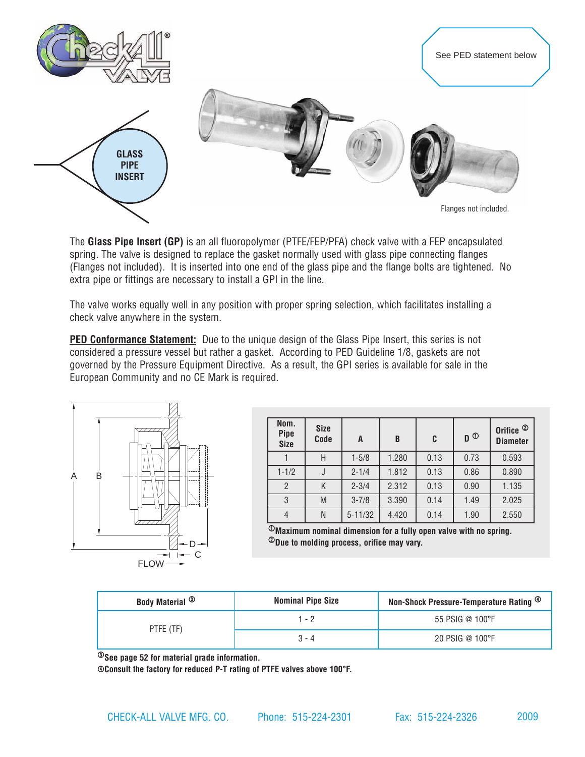

The **Glass Pipe Insert (GP)** is an all fluoropolymer (PTFE/FEP/PFA) check valve with a FEP encapsulated spring. The valve is designed to replace the gasket normally used with glass pipe connecting flanges (Flanges not included). It is inserted into one end of the glass pipe and the flange bolts are tightened. No extra pipe or fittings are necessary to install a GPI in the line.

The valve works equally well in any position with proper spring selection, which facilitates installing a check valve anywhere in the system.

**[PED Conformance Statement:](http://checkall.com/PDFfiles/pressure_equipment_directive_compliance.pdf)** Due to the unique design of the Glass Pipe Insert, this series is not considered a pressure vessel but rather a gasket. According to PED Guideline 1/8, gaskets are not governed by the Pressure Equipment Directive. As a result, the GPI series is available for sale in the European Community and no CE Mark is required.



| Nom.<br><b>Pipe</b><br><b>Size</b> | <b>Size</b><br>Code | A           | B     | C    | $\mathbf{D}^{\odot}$ | Orifice <sup><sup>2</sup></sup><br><b>Diameter</b> |
|------------------------------------|---------------------|-------------|-------|------|----------------------|----------------------------------------------------|
|                                    | Н                   | $1 - 5/8$   | 1.280 | 0.13 | 0.73                 | 0.593                                              |
| $1 - 1/2$                          |                     | $2 - 1/4$   | 1.812 | 0.13 | 0.86                 | 0.890                                              |
| $\overline{2}$                     | Κ                   | $2 - 3/4$   | 2.312 | 0.13 | 0.90                 | 1.135                                              |
| 3                                  | M                   | $3 - 7/8$   | 3.390 | 0.14 | 1.49                 | 2.025                                              |
| $\overline{4}$                     | N                   | $5 - 11/32$ | 4.420 | 0.14 | 1.90                 | 2.550                                              |

 $\mathcal D$ Maximum nominal dimension for a fully open valve with no spring. 2**Due to molding process, orifice may vary.**

2009

| <b>Body Material <sup>3</sup></b> | <b>Nominal Pipe Size</b> | Non-Shock Pressure-Temperature Rating $^\circledR$ |
|-----------------------------------|--------------------------|----------------------------------------------------|
| PTFE (TF)                         | l - 2                    | 55 PSIG @ 100°F                                    |
|                                   | $3 - 4$                  | 20 PSIG @ 100°F                                    |

3**See [page 52](http://checkall.com/PDFfiles/material_definition_for_Check-All_Valve_products.pdf) for material grade information.**

4**Consult the factory for reduced P-T rating of PTFE valves above 100°F.**